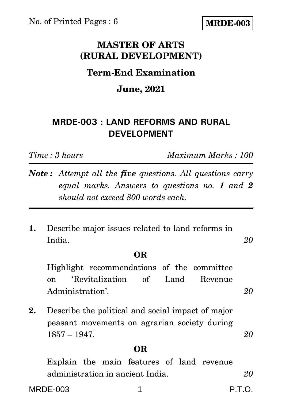No. of Printed Pages : 6

**MRDE-003**

## **MASTER OF ARTS (RURAL DEVELOPMENT)**

## **Term-End Examination**

### **June, 2021**

## **MRDE-003 : LAND REFORMS AND RURAL DEVELOPMENT**

*Time : 3 hours Maximum Marks : 100*

*Note : Attempt all the five questions. All questions carry equal marks. Answers to questions no. 1 and 2 should not exceed 800 words each.*

**1.** Describe major issues related to land reforms in India. *20*

#### **OR**

Highlight recommendations of the committee on 'Revitalization of Land Revenue Administration'. 20

**2.** Describe the political and social impact of major peasant movements on agrarian society during 1857 – 1947. *20*

#### **OR**

Explain the main features of land revenue administration in ancient India. *20*

MRDE-003 1 P.T.O. P.T.O.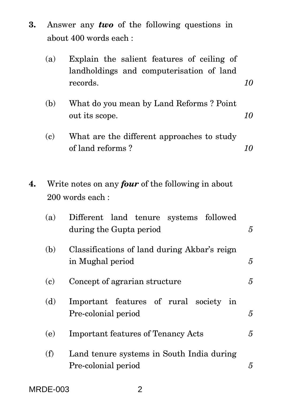**3.** Answer any *two* of the following questions in about 400 words each :

|    | (a)                         | Explain the salient features of ceiling of<br>landholdings and computerisation of land<br>records. | 10 |
|----|-----------------------------|----------------------------------------------------------------------------------------------------|----|
|    | (b)                         | What do you mean by Land Reforms? Point<br>out its scope.                                          | 10 |
|    | (c)                         | What are the different approaches to study<br>of land reforms?                                     | 10 |
| 4. |                             | Write notes on any <i>four</i> of the following in about<br>200 words each:                        |    |
|    | (a)                         | Different land tenure<br>followed<br>systems<br>during the Gupta period                            | 5  |
|    | (b)                         | Classifications of land during Akbar's reign<br>in Mughal period                                   | 5  |
|    | $\left( \mathbf{c} \right)$ | Concept of agrarian structure                                                                      | 5  |
|    | (d)                         | Important features of rural society in<br>Pre-colonial period                                      | 5  |
|    | (e)                         | <b>Important features of Tenancy Acts</b>                                                          | 5  |
|    | (f)                         | Land tenure systems in South India during<br>Pre-colonial period                                   | 5  |

MRDE-003 2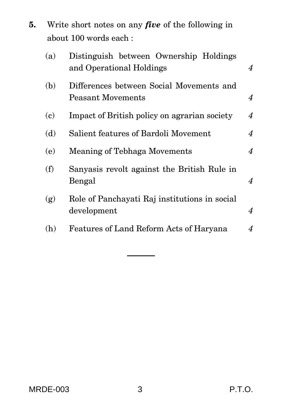| 5. | Write short notes on any <i>five</i> of the following in |
|----|----------------------------------------------------------|
|    | about 100 words each:                                    |

| (a) | Distinguish between Ownership Holdings<br>and Operational Holdings | $\overline{4}$   |
|-----|--------------------------------------------------------------------|------------------|
| (b) | Differences between Social Movements and<br>Peasant Movements      | $\boldsymbol{4}$ |
| (c) | Impact of British policy on agrarian society                       | $\overline{4}$   |
| (d) | Salient features of Bardoli Movement                               | $\boldsymbol{4}$ |
| (e) | Meaning of Tebhaga Movements                                       | $\boldsymbol{4}$ |
| (f) | Sanyasis revolt against the British Rule in<br>Bengal              | $\boldsymbol{4}$ |
| (g) | Role of Panchayati Raj institutions in social<br>development       | $\boldsymbol{4}$ |
| (h) | Features of Land Reform Acts of Haryana                            | 4                |
|     |                                                                    |                  |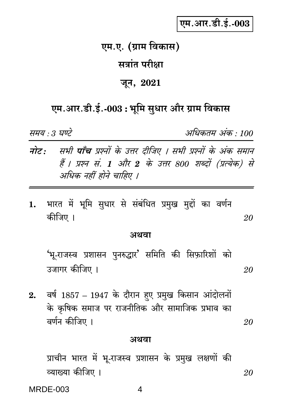# एम.आर.डी.ई.-003

## एम.ए. (ग्राम विकास)

## सत्रांत परीक्षा

### जून, 2021

# एम.आर.डी.ई.-003 : भूमि सुधार और ग्राम विकास

समय : 3 घण्टे

अधिकतम अंक · 100

20

- नोट: सभी पाँच प्रश्नों के उत्तर दीजिए । सभी प्रश्नों के अंक समान हैं । प्रश्न सं. 1 और 2 के उत्तर 800 शब्दों (प्रत्येक) से अधिक नहीं होने चाहिए ।
- भारत में भूमि सुधार से संबंधित प्रमुख मुद्दों का वर्णन  $\mathbf{1}$ . कीजिए । 20

#### अथवा

'भू-राजस्व प्रशासन पुनरुद्धार' समिति की सिफ़ारिशों को उजागर कीजिए । 20

वर्ष 1857 – 1947 के दौरान हुए प्रमुख किसान आंदोलनों  $2.$ के कृषिक समाज पर राजनीतिक और सामाजिक प्रभाव का वर्णन कीजिए ।

#### अथवा

प्राचीन भारत में भू-राजस्व प्रशासन के प्रमुख लक्षणों की व्याख्या कीजिए । 20

**MRDE-003** 

4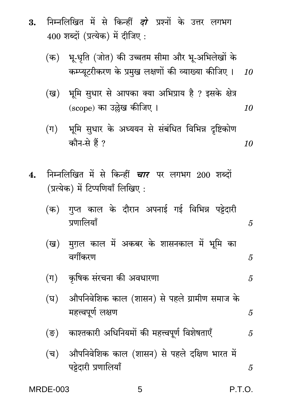- निम्नलिखित में से किन्हीं *दो* प्रश्नों के उत्तर लगभग 3.  $400$  शब्दों (प्रत्येक) में दीजिए:
	- भू-धृति (जोत) की उच्चतम सीमा और भू-अभिलेखों के (क) कम्प्यूटरीकरण के प्रमुख लक्षणों की व्याख्या कीजिए ।  $10$
	- भूमि सुधार से आपका क्या अभिप्राय है ? इसके क्षेत्र (ख) (scope) का उल्लेख कीजिए । 10
	- (ग) भूमि सुधार के अध्ययन से संबंधित विभिन्न दृष्टिकोण कौन-से हैं ? 10
- निम्नलिखित में से किन्हीं *चार* पर लगभग 200 शब्दों  $\boldsymbol{4}$ . (प्रत्येक) में टिप्पणियाँ लिखिए:

|            |  | (क)  गुप्त काल के दौरान अपनाई गई विभिन्न पट्टेदारी |  |  |
|------------|--|----------------------------------------------------|--|--|
| प्रणालियाँ |  |                                                    |  |  |

- (ख) मग़ल काल में अकबर के शासनकाल में भूमि का वर्गीकरण
- कृषिक संरचना की अवधारणा  $(\Pi)$ 5
- औपनिवेशिक काल (शासन) से पहले ग्रामीण समाज के (घ) महत्त्वपूर्ण लक्षण 5
- (ङ) काश्तकारी अधिनियमों की महत्त्वपूर्ण विशेषताएँ 5
- औपनिवेशिक काल (शासन) से पहले दक्षिण भारत में (च) पट्टेदारी प्रणालियाँ 5

**MRDE-003** 

**P.T.O.** 

5

5